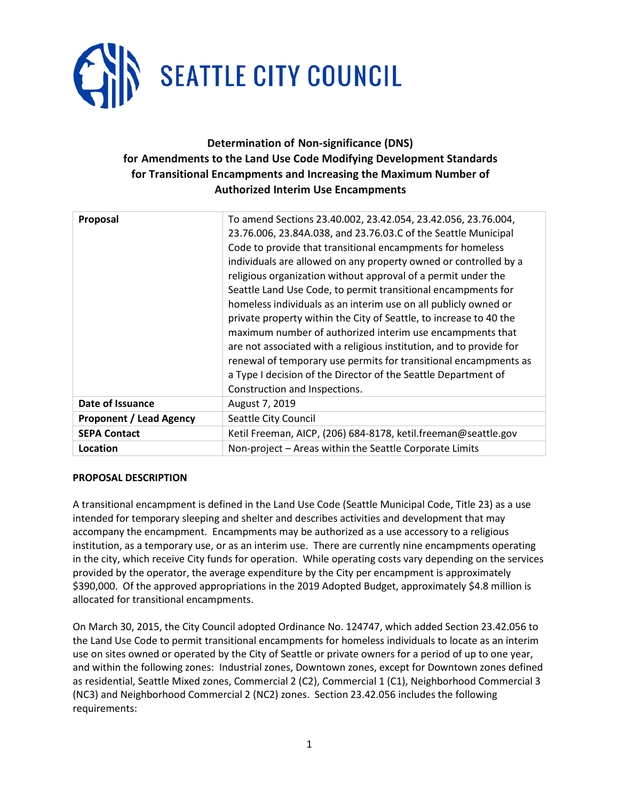

# **Determination of Non-significance (DNS) for Amendments to the Land Use Code Modifying Development Standards for Transitional Encampments and Increasing the Maximum Number of Authorized Interim Use Encampments**

| Proposal                       | To amend Sections 23.40.002, 23.42.054, 23.42.056, 23.76.004,<br>23.76.006, 23.84A.038, and 23.76.03.C of the Seattle Municipal<br>Code to provide that transitional encampments for homeless<br>individuals are allowed on any property owned or controlled by a<br>religious organization without approval of a permit under the<br>Seattle Land Use Code, to permit transitional encampments for<br>homeless individuals as an interim use on all publicly owned or<br>private property within the City of Seattle, to increase to 40 the<br>maximum number of authorized interim use encampments that<br>are not associated with a religious institution, and to provide for<br>renewal of temporary use permits for transitional encampments as<br>a Type I decision of the Director of the Seattle Department of<br>Construction and Inspections. |
|--------------------------------|---------------------------------------------------------------------------------------------------------------------------------------------------------------------------------------------------------------------------------------------------------------------------------------------------------------------------------------------------------------------------------------------------------------------------------------------------------------------------------------------------------------------------------------------------------------------------------------------------------------------------------------------------------------------------------------------------------------------------------------------------------------------------------------------------------------------------------------------------------|
| Date of Issuance               | August 7, 2019                                                                                                                                                                                                                                                                                                                                                                                                                                                                                                                                                                                                                                                                                                                                                                                                                                          |
| <b>Proponent / Lead Agency</b> | Seattle City Council                                                                                                                                                                                                                                                                                                                                                                                                                                                                                                                                                                                                                                                                                                                                                                                                                                    |
| <b>SEPA Contact</b>            | Ketil Freeman, AICP, (206) 684-8178, ketil.freeman@seattle.gov                                                                                                                                                                                                                                                                                                                                                                                                                                                                                                                                                                                                                                                                                                                                                                                          |
| Location                       | Non-project - Areas within the Seattle Corporate Limits                                                                                                                                                                                                                                                                                                                                                                                                                                                                                                                                                                                                                                                                                                                                                                                                 |

# **PROPOSAL DESCRIPTION**

A transitional encampment is defined in the Land Use Code (Seattle Municipal Code, Title 23) as a use intended for temporary sleeping and shelter and describes activities and development that may accompany the encampment. Encampments may be authorized as a use accessory to a religious institution, as a temporary use, or as an interim use. There are currently nine encampments operating in the city, which receive City funds for operation. While operating costs vary depending on the services provided by the operator, the average expenditure by the City per encampment is approximately \$390,000. Of the approved appropriations in the 2019 Adopted Budget, approximately \$4.8 million is allocated for transitional encampments.

On March 30, 2015, the City Council adopted Ordinance No. 124747, which added Section 23.42.056 to the Land Use Code to permit transitional encampments for homeless individuals to locate as an interim use on sites owned or operated by the City of Seattle or private owners for a period of up to one year, and within the following zones: Industrial zones, Downtown zones, except for Downtown zones defined as residential, Seattle Mixed zones, Commercial 2 (C2), Commercial 1 (C1), Neighborhood Commercial 3 (NC3) and Neighborhood Commercial 2 (NC2) zones. Section 23.42.056 includes the following requirements: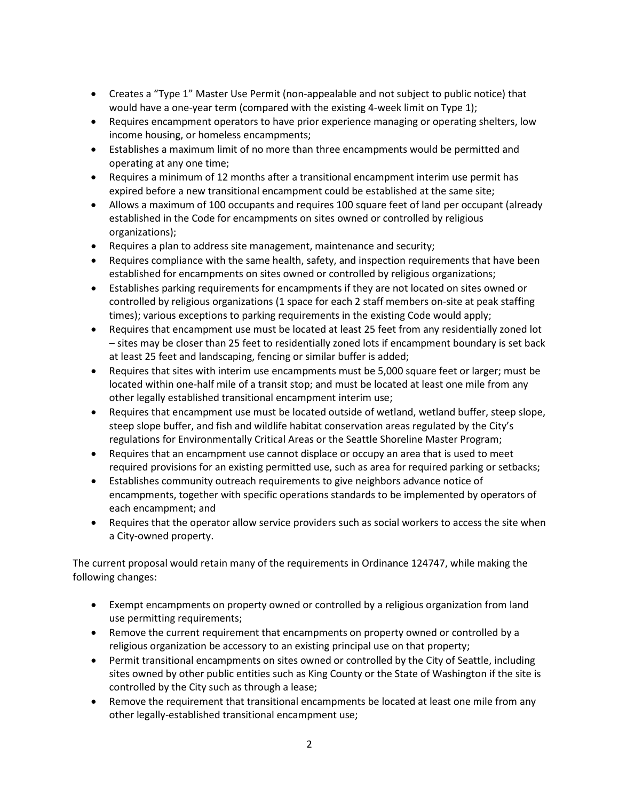- Creates a "Type 1" Master Use Permit (non-appealable and not subject to public notice) that would have a one-year term (compared with the existing 4-week limit on Type 1);
- Requires encampment operators to have prior experience managing or operating shelters, low income housing, or homeless encampments;
- Establishes a maximum limit of no more than three encampments would be permitted and operating at any one time;
- Requires a minimum of 12 months after a transitional encampment interim use permit has expired before a new transitional encampment could be established at the same site;
- Allows a maximum of 100 occupants and requires 100 square feet of land per occupant (already established in the Code for encampments on sites owned or controlled by religious organizations);
- Requires a plan to address site management, maintenance and security;
- Requires compliance with the same health, safety, and inspection requirements that have been established for encampments on sites owned or controlled by religious organizations;
- Establishes parking requirements for encampments if they are not located on sites owned or controlled by religious organizations (1 space for each 2 staff members on-site at peak staffing times); various exceptions to parking requirements in the existing Code would apply;
- Requires that encampment use must be located at least 25 feet from any residentially zoned lot – sites may be closer than 25 feet to residentially zoned lots if encampment boundary is set back at least 25 feet and landscaping, fencing or similar buffer is added;
- Requires that sites with interim use encampments must be 5,000 square feet or larger; must be located within one-half mile of a transit stop; and must be located at least one mile from any other legally established transitional encampment interim use;
- Requires that encampment use must be located outside of wetland, wetland buffer, steep slope, steep slope buffer, and fish and wildlife habitat conservation areas regulated by the City's regulations for Environmentally Critical Areas or the Seattle Shoreline Master Program;
- Requires that an encampment use cannot displace or occupy an area that is used to meet required provisions for an existing permitted use, such as area for required parking or setbacks;
- Establishes community outreach requirements to give neighbors advance notice of encampments, together with specific operations standards to be implemented by operators of each encampment; and
- Requires that the operator allow service providers such as social workers to access the site when a City-owned property.

The current proposal would retain many of the requirements in Ordinance 124747, while making the following changes:

- Exempt encampments on property owned or controlled by a religious organization from land use permitting requirements;
- Remove the current requirement that encampments on property owned or controlled by a religious organization be accessory to an existing principal use on that property;
- Permit transitional encampments on sites owned or controlled by the City of Seattle, including sites owned by other public entities such as King County or the State of Washington if the site is controlled by the City such as through a lease;
- Remove the requirement that transitional encampments be located at least one mile from any other legally-established transitional encampment use;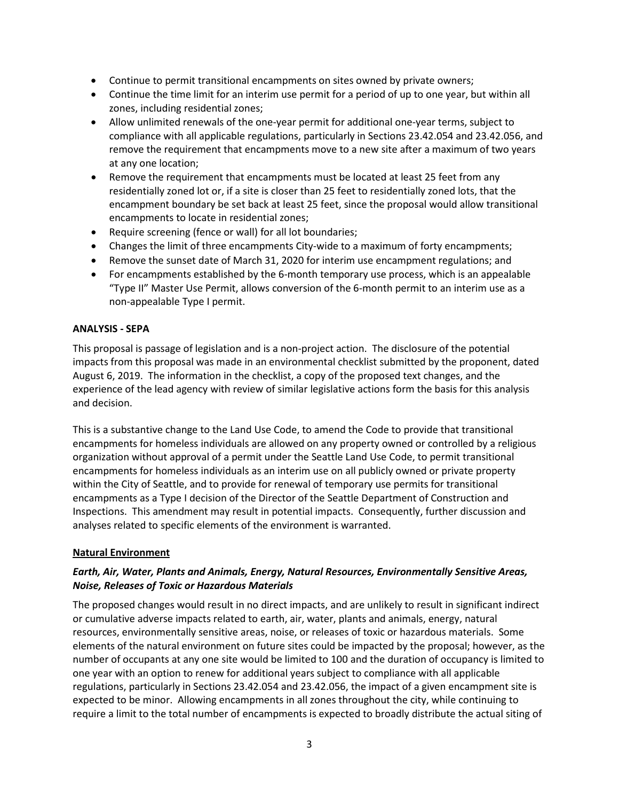- Continue to permit transitional encampments on sites owned by private owners;
- Continue the time limit for an interim use permit for a period of up to one year, but within all zones, including residential zones;
- Allow unlimited renewals of the one-year permit for additional one-year terms, subject to compliance with all applicable regulations, particularly in Sections 23.42.054 and 23.42.056, and remove the requirement that encampments move to a new site after a maximum of two years at any one location;
- Remove the requirement that encampments must be located at least 25 feet from any residentially zoned lot or, if a site is closer than 25 feet to residentially zoned lots, that the encampment boundary be set back at least 25 feet, since the proposal would allow transitional encampments to locate in residential zones;
- Require screening (fence or wall) for all lot boundaries;
- Changes the limit of three encampments City-wide to a maximum of forty encampments;
- Remove the sunset date of March 31, 2020 for interim use encampment regulations; and
- For encampments established by the 6-month temporary use process, which is an appealable "Type II" Master Use Permit, allows conversion of the 6-month permit to an interim use as a non-appealable Type I permit.

# **ANALYSIS - SEPA**

This proposal is passage of legislation and is a non-project action. The disclosure of the potential impacts from this proposal was made in an environmental checklist submitted by the proponent, dated August 6, 2019. The information in the checklist, a copy of the proposed text changes, and the experience of the lead agency with review of similar legislative actions form the basis for this analysis and decision.

This is a substantive change to the Land Use Code, to amend the Code to provide that transitional encampments for homeless individuals are allowed on any property owned or controlled by a religious organization without approval of a permit under the Seattle Land Use Code, to permit transitional encampments for homeless individuals as an interim use on all publicly owned or private property within the City of Seattle, and to provide for renewal of temporary use permits for transitional encampments as a Type I decision of the Director of the Seattle Department of Construction and Inspections. This amendment may result in potential impacts. Consequently, further discussion and analyses related to specific elements of the environment is warranted.

# **Natural Environment**

# *Earth, Air, Water, Plants and Animals, Energy, Natural Resources, Environmentally Sensitive Areas, Noise, Releases of Toxic or Hazardous Materials*

The proposed changes would result in no direct impacts, and are unlikely to result in significant indirect or cumulative adverse impacts related to earth, air, water, plants and animals, energy, natural resources, environmentally sensitive areas, noise, or releases of toxic or hazardous materials. Some elements of the natural environment on future sites could be impacted by the proposal; however, as the number of occupants at any one site would be limited to 100 and the duration of occupancy is limited to one year with an option to renew for additional years subject to compliance with all applicable regulations, particularly in Sections 23.42.054 and 23.42.056, the impact of a given encampment site is expected to be minor. Allowing encampments in all zones throughout the city, while continuing to require a limit to the total number of encampments is expected to broadly distribute the actual siting of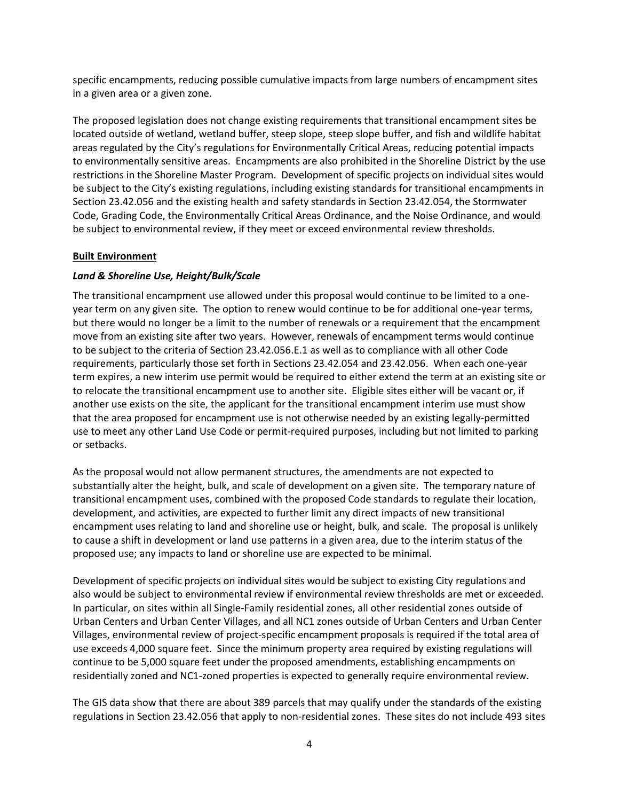specific encampments, reducing possible cumulative impacts from large numbers of encampment sites in a given area or a given zone.

The proposed legislation does not change existing requirements that transitional encampment sites be located outside of wetland, wetland buffer, steep slope, steep slope buffer, and fish and wildlife habitat areas regulated by the City's regulations for Environmentally Critical Areas, reducing potential impacts to environmentally sensitive areas. Encampments are also prohibited in the Shoreline District by the use restrictions in the Shoreline Master Program. Development of specific projects on individual sites would be subject to the City's existing regulations, including existing standards for transitional encampments in Section 23.42.056 and the existing health and safety standards in Section 23.42.054, the Stormwater Code, Grading Code, the Environmentally Critical Areas Ordinance, and the Noise Ordinance, and would be subject to environmental review, if they meet or exceed environmental review thresholds.

# **Built Environment**

# *Land & Shoreline Use, Height/Bulk/Scale*

The transitional encampment use allowed under this proposal would continue to be limited to a oneyear term on any given site. The option to renew would continue to be for additional one-year terms, but there would no longer be a limit to the number of renewals or a requirement that the encampment move from an existing site after two years. However, renewals of encampment terms would continue to be subject to the criteria of Section 23.42.056.E.1 as well as to compliance with all other Code requirements, particularly those set forth in Sections 23.42.054 and 23.42.056. When each one-year term expires, a new interim use permit would be required to either extend the term at an existing site or to relocate the transitional encampment use to another site. Eligible sites either will be vacant or, if another use exists on the site, the applicant for the transitional encampment interim use must show that the area proposed for encampment use is not otherwise needed by an existing legally-permitted use to meet any other Land Use Code or permit-required purposes, including but not limited to parking or setbacks.

As the proposal would not allow permanent structures, the amendments are not expected to substantially alter the height, bulk, and scale of development on a given site. The temporary nature of transitional encampment uses, combined with the proposed Code standards to regulate their location, development, and activities, are expected to further limit any direct impacts of new transitional encampment uses relating to land and shoreline use or height, bulk, and scale. The proposal is unlikely to cause a shift in development or land use patterns in a given area, due to the interim status of the proposed use; any impacts to land or shoreline use are expected to be minimal.

Development of specific projects on individual sites would be subject to existing City regulations and also would be subject to environmental review if environmental review thresholds are met or exceeded. In particular, on sites within all Single-Family residential zones, all other residential zones outside of Urban Centers and Urban Center Villages, and all NC1 zones outside of Urban Centers and Urban Center Villages, environmental review of project-specific encampment proposals is required if the total area of use exceeds 4,000 square feet. Since the minimum property area required by existing regulations will continue to be 5,000 square feet under the proposed amendments, establishing encampments on residentially zoned and NC1-zoned properties is expected to generally require environmental review.

The GIS data show that there are about 389 parcels that may qualify under the standards of the existing regulations in Section 23.42.056 that apply to non-residential zones. These sites do not include 493 sites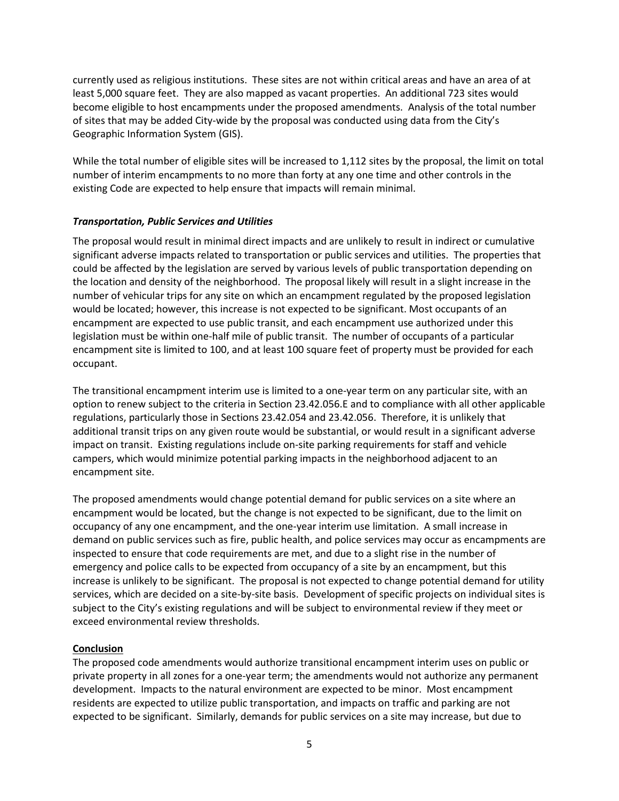currently used as religious institutions. These sites are not within critical areas and have an area of at least 5,000 square feet. They are also mapped as vacant properties. An additional 723 sites would become eligible to host encampments under the proposed amendments. Analysis of the total number of sites that may be added City-wide by the proposal was conducted using data from the City's Geographic Information System (GIS).

While the total number of eligible sites will be increased to 1,112 sites by the proposal, the limit on total number of interim encampments to no more than forty at any one time and other controls in the existing Code are expected to help ensure that impacts will remain minimal.

### *Transportation, Public Services and Utilities*

The proposal would result in minimal direct impacts and are unlikely to result in indirect or cumulative significant adverse impacts related to transportation or public services and utilities. The properties that could be affected by the legislation are served by various levels of public transportation depending on the location and density of the neighborhood. The proposal likely will result in a slight increase in the number of vehicular trips for any site on which an encampment regulated by the proposed legislation would be located; however, this increase is not expected to be significant. Most occupants of an encampment are expected to use public transit, and each encampment use authorized under this legislation must be within one-half mile of public transit. The number of occupants of a particular encampment site is limited to 100, and at least 100 square feet of property must be provided for each occupant.

The transitional encampment interim use is limited to a one-year term on any particular site, with an option to renew subject to the criteria in Section 23.42.056.E and to compliance with all other applicable regulations, particularly those in Sections 23.42.054 and 23.42.056. Therefore, it is unlikely that additional transit trips on any given route would be substantial, or would result in a significant adverse impact on transit. Existing regulations include on-site parking requirements for staff and vehicle campers, which would minimize potential parking impacts in the neighborhood adjacent to an encampment site.

The proposed amendments would change potential demand for public services on a site where an encampment would be located, but the change is not expected to be significant, due to the limit on occupancy of any one encampment, and the one-year interim use limitation. A small increase in demand on public services such as fire, public health, and police services may occur as encampments are inspected to ensure that code requirements are met, and due to a slight rise in the number of emergency and police calls to be expected from occupancy of a site by an encampment, but this increase is unlikely to be significant. The proposal is not expected to change potential demand for utility services, which are decided on a site-by-site basis. Development of specific projects on individual sites is subject to the City's existing regulations and will be subject to environmental review if they meet or exceed environmental review thresholds.

# **Conclusion**

The proposed code amendments would authorize transitional encampment interim uses on public or private property in all zones for a one-year term; the amendments would not authorize any permanent development. Impacts to the natural environment are expected to be minor. Most encampment residents are expected to utilize public transportation, and impacts on traffic and parking are not expected to be significant. Similarly, demands for public services on a site may increase, but due to